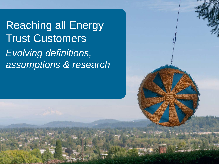Reaching all Energy Trust Customers *Evolving definitions, assumptions & research*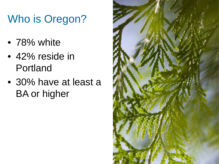## Who is Oregon?

- 78% white
- 42% reside in Portland
- 30% have at least a BA or higher

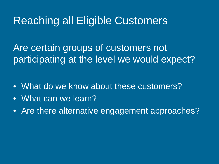## Reaching all Eligible Customers

Are certain groups of customers not participating at the level we would expect?

- What do we know about these customers?
- What can we learn?
- Are there alternative engagement approaches?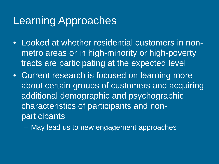## Learning Approaches

- Looked at whether residential customers in nonmetro areas or in high-minority or high-poverty tracts are participating at the expected level
- Current research is focused on learning more about certain groups of customers and acquiring additional demographic and psychographic characteristics of participants and nonparticipants

– May lead us to new engagement approaches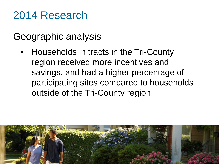## 2014 Research

## Geographic analysis

• Households in tracts in the Tri-County region received more incentives and savings, and had a higher percentage of participating sites compared to households outside of the Tri-County region

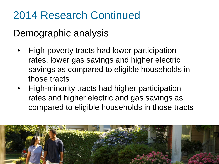## 2014 Research Continued

## Demographic analysis

- High-poverty tracts had lower participation rates, lower gas savings and higher electric savings as compared to eligible households in those tracts
- High-minority tracts had higher participation rates and higher electric and gas savings as compared to eligible households in those tracts

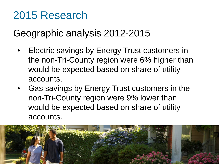## 2015 Research

## Geographic analysis 2012-2015

- Electric savings by Energy Trust customers in the non-Tri-County region were 6% higher than would be expected based on share of utility accounts.
- Gas savings by Energy Trust customers in the non-Tri-County region were 9% lower than would be expected based on share of utility accounts.

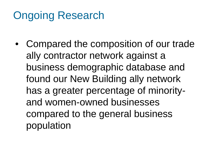## Ongoing Research

• Compared the composition of our trade ally contractor network against a business demographic database and found our New Building ally network has a greater percentage of minorityand women-owned businesses compared to the general business population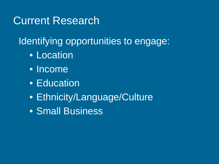## Current Research

Identifying opportunities to engage:

- Location
- Income
- Education
- Ethnicity/Language/Culture
- Small Business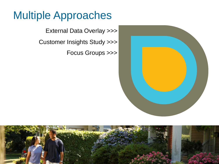## Multiple Approaches

External Data Overlay >>> Customer Insights Study >>> Focus Groups >>>



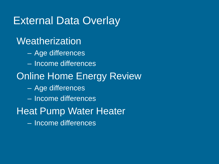## External Data Overlay

#### **Weatherization**

- Age differences
- Income differences
- **Online Home Energy Review** 
	- Age differences
	- Income differences
- Heat Pump Water Heater
	- Income differences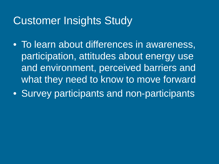## Customer Insights Study

- To learn about differences in awareness, participation, attitudes about energy use and environment, perceived barriers and what they need to know to move forward
- Survey participants and non-participants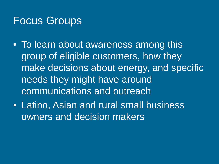## Focus Groups

- To learn about awareness among this group of eligible customers, how they make decisions about energy, and specific needs they might have around communications and outreach
- Latino, Asian and rural small business owners and decision makers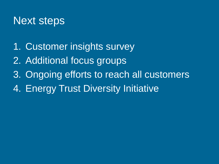## Next steps

- 1. Customer insights survey
- 2. Additional focus groups
- 3. Ongoing efforts to reach all customers
- 4. Energy Trust Diversity Initiative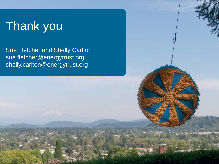## Thank you

Sue Fletcher and Shelly Carlton sue.fletcher@energytrust.org shelly.carlton@energytrust.org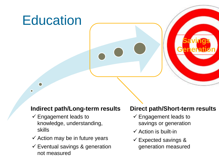# **Education**

 $\bullet$ 

#### **Indirect path/Long-term results**

- $\checkmark$  Engagement leads to knowledge, understanding, skills
- $\checkmark$  Action may be in future years
- $\checkmark$  Eventual savings & generation not measured

#### **Direct path/Short-term results**

**Savings**

**Generation**

- $\checkmark$  Engagement leads to savings or generation
- $\checkmark$  Action is built-in
- $\checkmark$  Expected savings & generation measured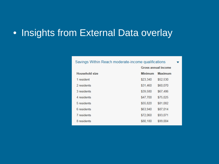### • Insights from External Data overlay

| Savings Within Reach moderate-income qualifications |                |                     |  |  |
|-----------------------------------------------------|----------------|---------------------|--|--|
|                                                     |                | Gross annual income |  |  |
| <b>Household size</b>                               | <b>Minimum</b> | <b>Maximum</b>      |  |  |
| 1 resident                                          | \$23,340       | \$52,530            |  |  |
| 2 residents                                         | \$31,460       | \$60,070            |  |  |
| 3 residents                                         | \$39,580       | \$67,486            |  |  |
| 4 residents                                         | \$47,700       | \$75,025            |  |  |
| 5 residents                                         | \$55,820       | \$81,082            |  |  |
| 6 residents                                         | \$63,940       | \$87,014            |  |  |
| 7 residents                                         | \$72,060       | \$93,071            |  |  |
| 8 residents                                         | \$80,180       | \$99,004            |  |  |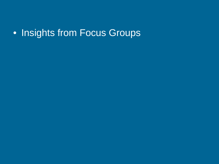## • Insights from Focus Groups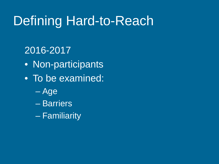## Defining Hard-to-Reach

### 2016-2017

- Non-participants
- To be examined:
	- Age
	- Barriers
	- Familiarity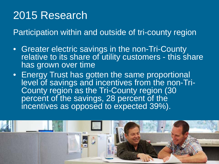## 2015 Research

Participation within and outside of tri-county region

- Greater electric savings in the non-Tri-County relative to its share of utility customers - this share has grown over time
- Energy Trust has gotten the same proportional I level of savings and incentives from the non-Tri-County region as the Tri-County region (30 percent of the savings, 28 percent of the incentives as opposed to expected 39%).

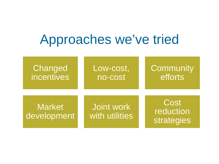## Approaches we've tried

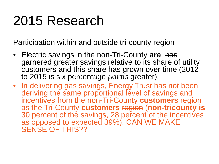# 2015 Research

Participation within and outside tri-county region

- Electric savings in the non-Tri-County **are** has garnered greater savings relative to its share of utility customers and this share has grown over time (2012 to 2015 is six percentage points greater).
- In delivering gas savings, Energy Trust has not been deriving the same proportional level of savings and incentives from the non-Tri-County **customers** region as the Tri-County **customers** region (**non-tricounty is**  30 percent of the savings, 28 percent of the incentives as opposed to expected 39%). CAN WE MAKE SENSE OF THIS?? participation at the level of other eligible ry yao or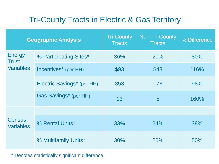#### Tri-County Tracts in Electric & Gas Territory

|                                                   | <b>Geographic Analysis</b> | <b>Tri-County</b><br><b>Tracts</b> | <b>Non-Tri County</b><br><b>Tracts</b> | % Difference |
|---------------------------------------------------|----------------------------|------------------------------------|----------------------------------------|--------------|
| <b>Energy</b><br><b>Trust</b><br><b>Variables</b> | % Participating Sites*     | 36%                                | <b>20%</b>                             | 80%          |
|                                                   | Incentives* (per HH)       | \$93                               | \$43                                   | 116%         |
|                                                   | Electric Savings* (per HH) | 353                                | 178                                    | 98%          |
|                                                   | Gas Savings* (per HH)      | 13                                 | $\overline{5}$                         | 160%         |
|                                                   |                            |                                    |                                        |              |
| <b>Census</b><br><b>Variables</b>                 | % Rental Units*            | 33%                                | 24%                                    | 38%          |
|                                                   | % Multifamily Units*       | 30%                                | 20%                                    | 50%          |

 $^\ast$  Denotes statistically significant difference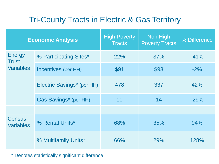#### Tri-County Tracts in Electric & Gas Territory

|                                                   | <b>Economic Analysis</b>          | <b>High Poverty</b><br><b>Tracts</b> | Non High<br><b>Poverty Tracts</b> | % Difference |
|---------------------------------------------------|-----------------------------------|--------------------------------------|-----------------------------------|--------------|
| <b>Energy</b><br><b>Trust</b><br><b>Variables</b> | % Participating Sites*            | 22%                                  | 37%                               | $-41%$       |
|                                                   | Incentives (per HH)               | \$91                                 | \$93                              | $-2%$        |
|                                                   | <b>Electric Savings* (per HH)</b> | 478                                  | 337                               | 42%          |
|                                                   | Gas Savings* (per HH)             | 10                                   | 14                                | $-29%$       |
|                                                   |                                   |                                      |                                   |              |
| <b>Census</b><br><b>Variables</b>                 | % Rental Units*                   | 68%                                  | 35%                               | 94%          |
|                                                   | % Multifamily Units*              | 66%                                  | 29%                               | 128%         |

 $^\ast$  Denotes statistically significant difference